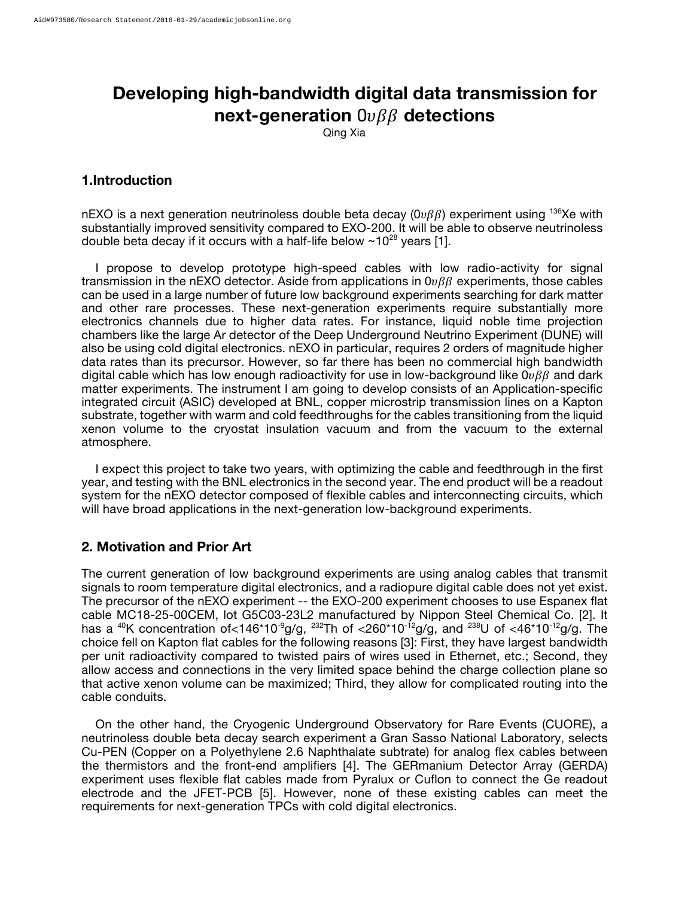# **Developing high-bandwidth digital data transmission for next-generation**  $0\nu\beta\beta$  detections

Qing Xia

## **1.Introduction**

nEXO is a next generation neutrinoless double beta decay ( $0\nu\beta\beta$ ) experiment using <sup>136</sup>Xe with substantially improved sensitivity compared to EXO-200. It will be able to observe neutrinoless double beta decay if it occurs with a half-life below  $\sim 10^{28}$  years [1].

 I propose to develop prototype high-speed cables with low radio-activity for signal transmission in the nEXO detector. Aside from applications in  $0\nu\beta\beta$  experiments, those cables can be used in a large number of future low background experiments searching for dark matter and other rare processes. These next-generation experiments require substantially more electronics channels due to higher data rates. For instance, liquid noble time projection chambers like the large Ar detector of the Deep Underground Neutrino Experiment (DUNE) will also be using cold digital electronics. nEXO in particular, requires 2 orders of magnitude higher data rates than its precursor. However, so far there has been no commercial high bandwidth digital cable which has low enough radioactivity for use in low-background like  $0\nu\beta\beta$  and dark matter experiments. The instrument I am going to develop consists of an Application-specific integrated circuit (ASIC) developed at BNL, copper microstrip transmission lines on a Kapton substrate, together with warm and cold feedthroughs for the cables transitioning from the liquid xenon volume to the cryostat insulation vacuum and from the vacuum to the external atmosphere.

 I expect this project to take two years, with optimizing the cable and feedthrough in the first year, and testing with the BNL electronics in the second year. The end product will be a readout system for the nEXO detector composed of flexible cables and interconnecting circuits, which will have broad applications in the next-generation low-background experiments.

### **2. Motivation and Prior Art**

The current generation of low background experiments are using analog cables that transmit signals to room temperature digital electronics, and a radiopure digital cable does not yet exist. The precursor of the nEXO experiment -- the EXO-200 experiment chooses to use Espanex flat cable MC18-25-00CEM, lot G5C03-23L2 manufactured by Nippon Steel Chemical Co. [2]. It has a <sup>40</sup>K concentration of <146<sup>\*10-9</sup>g/g, <sup>232</sup>Th of <260<sup>\*10-12</sup>g/g, and <sup>238</sup>U of <46\*10<sup>-12</sup>g/g. The choice fell on Kapton flat cables for the following reasons [3]: First, they have largest bandwidth per unit radioactivity compared to twisted pairs of wires used in Ethernet, etc.; Second, they allow access and connections in the very limited space behind the charge collection plane so that active xenon volume can be maximized; Third, they allow for complicated routing into the cable conduits.

 On the other hand, the Cryogenic Underground Observatory for Rare Events (CUORE), a neutrinoless double beta decay search experiment a Gran Sasso National Laboratory, selects Cu-PEN (Copper on a Polyethylene 2.6 Naphthalate subtrate) for analog flex cables between the thermistors and the front-end amplifiers [4]. The GERmanium Detector Array (GERDA) experiment uses flexible flat cables made from Pyralux or Cuflon to connect the Ge readout electrode and the JFET-PCB [5]. However, none of these existing cables can meet the requirements for next-generation TPCs with cold digital electronics.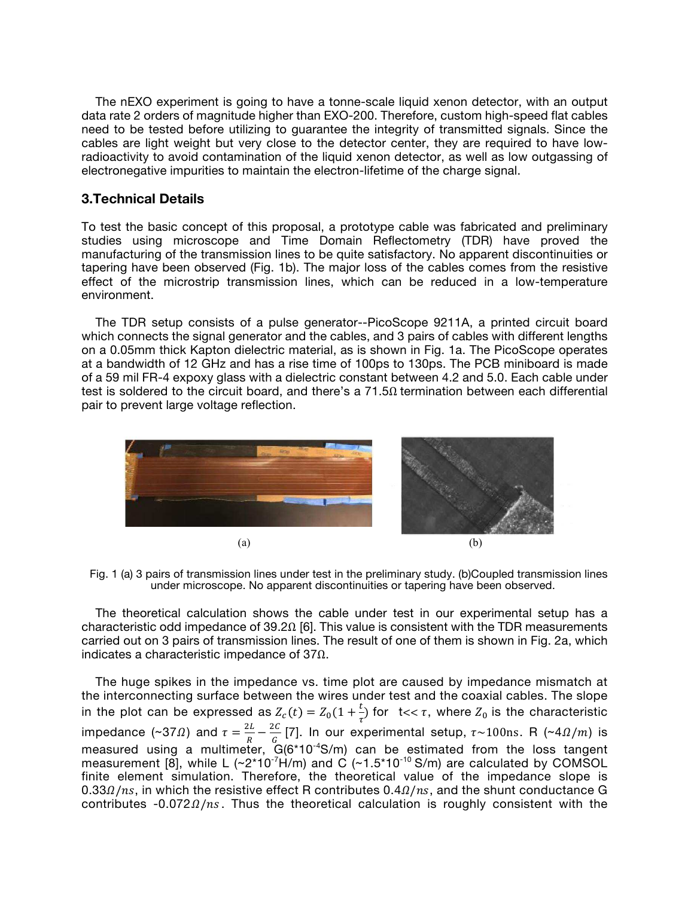The nEXO experiment is going to have a tonne-scale liquid xenon detector, with an output data rate 2 orders of magnitude higher than EXO-200. Therefore, custom high-speed flat cables need to be tested before utilizing to guarantee the integrity of transmitted signals. Since the cables are light weight but very close to the detector center, they are required to have lowradioactivity to avoid contamination of the liquid xenon detector, as well as low outgassing of electronegative impurities to maintain the electron-lifetime of the charge signal.

#### **3.Technical Details**

To test the basic concept of this proposal, a prototype cable was fabricated and preliminary studies using microscope and Time Domain Reflectometry (TDR) have proved the manufacturing of the transmission lines to be quite satisfactory. No apparent discontinuities or tapering have been observed (Fig. 1b). The major loss of the cables comes from the resistive effect of the microstrip transmission lines, which can be reduced in a low-temperature environment.

 The TDR setup consists of a pulse generator--PicoScope 9211A, a printed circuit board which connects the signal generator and the cables, and 3 pairs of cables with different lengths on a 0.05mm thick Kapton dielectric material, as is shown in Fig. 1a. The PicoScope operates at a bandwidth of 12 GHz and has a rise time of 100ps to 130ps. The PCB miniboard is made of a 59 mil FR-4 expoxy glass with a dielectric constant between 4.2 and 5.0. Each cable under test is soldered to the circuit board, and there's a  $71.5\Omega$  termination between each differential pair to prevent large voltage reflection.



Fig. 1 (a) 3 pairs of transmission lines under test in the preliminary study. (b)Coupled transmission lines under microscope. No apparent discontinuities or tapering have been observed.

 The theoretical calculation shows the cable under test in our experimental setup has a characteristic odd impedance of 39.2Ω [6]. This value is consistent with the TDR measurements carried out on 3 pairs of transmission lines. The result of one of them is shown in Fig. 2a, which indicates a characteristic impedance of 37Ω.

 The huge spikes in the impedance vs. time plot are caused by impedance mismatch at the interconnecting surface between the wires under test and the coaxial cables. The slope in the plot can be expressed as  $Z_c(t) = Z_0(1 + \frac{t}{\tau})$  $\frac{1}{\tau}$ ) for t<<  $\tau$ , where  $Z_0$  is the characteristic impedance (~37 $\Omega$ ) and  $\tau = \frac{2L}{R}$  $\frac{2L}{R} - \frac{2C}{G}$  $\frac{12}{6}$  [7]. In our experimental setup,  $\tau$ ~100ns. R (~4 $\Omega/m$ ) is measured using a multimeter,  $G(6*10^{-4}S/m)$  can be estimated from the loss tangent measurement  $[8]$ , while L  $(\sim 2*10^{-7}H/m)$  and C  $(\sim 1.5*10^{-10}$  S/m) are calculated by COMSOL finite element simulation. Therefore, the theoretical value of the impedance slope is  $0.33/ns$ , in which the resistive effect R contributes  $0.4/ns$ , and the shunt conductance G contributes  $-0.072 \Omega/ns$ . Thus the theoretical calculation is roughly consistent with the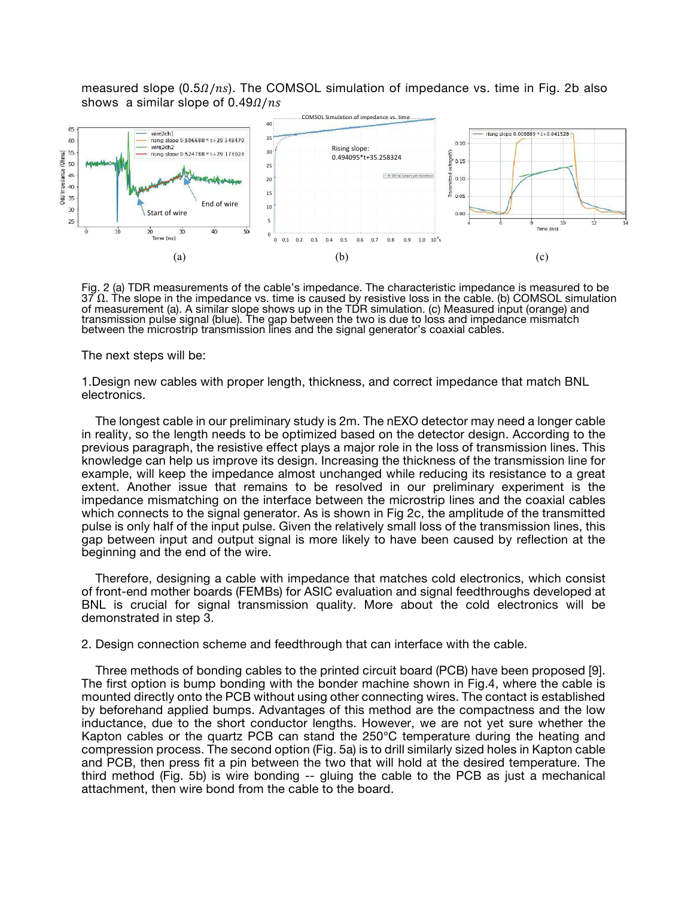measured slope  $(0.5\Omega/ns)$ . The COMSOL simulation of impedance vs. time in Fig. 2b also shows a similar slope of  $0.49 \Omega/ns$ 



Fig. 2 (a) TDR measurements of the cable's impedance. The characteristic impedance is measured to be 37 Ω. The slope in the impedance vs. time is caused by resistive loss in the cable. (b) COMSOL simulation of measurement (a). A similar slope shows up in the TDR simulation. (c) Measured input (orange) and transmission pulse signal (blue). The gap between the two is due to loss and impedance mismatch between the microstrip transmission lines and the signal generator's coaxial cables.

The next steps will be:

1.Design new cables with proper length, thickness, and correct impedance that match BNL electronics.

 The longest cable in our preliminary study is 2m. The nEXO detector may need a longer cable in reality, so the length needs to be optimized based on the detector design. According to the previous paragraph, the resistive effect plays a major role in the loss of transmission lines. This knowledge can help us improve its design. Increasing the thickness of the transmission line for example, will keep the impedance almost unchanged while reducing its resistance to a great extent. Another issue that remains to be resolved in our preliminary experiment is the impedance mismatching on the interface between the microstrip lines and the coaxial cables which connects to the signal generator. As is shown in Fig 2c, the amplitude of the transmitted pulse is only half of the input pulse. Given the relatively small loss of the transmission lines, this gap between input and output signal is more likely to have been caused by reflection at the beginning and the end of the wire.

 Therefore, designing a cable with impedance that matches cold electronics, which consist of front-end mother boards (FEMBs) for ASIC evaluation and signal feedthroughs developed at BNL is crucial for signal transmission quality. More about the cold electronics will be demonstrated in step 3.

2. Design connection scheme and feedthrough that can interface with the cable.

 Three methods of bonding cables to the printed circuit board (PCB) have been proposed [9]. The first option is bump bonding with the bonder machine shown in Fig.4, where the cable is mounted directly onto the PCB without using other connecting wires. The contact is established by beforehand applied bumps. Advantages of this method are the compactness and the low inductance, due to the short conductor lengths. However, we are not yet sure whether the Kapton cables or the quartz PCB can stand the 250℃ temperature during the heating and compression process. The second option (Fig. 5a) is to drill similarly sized holes in Kapton cable and PCB, then press fit a pin between the two that will hold at the desired temperature. The third method (Fig. 5b) is wire bonding -- gluing the cable to the PCB as just a mechanical attachment, then wire bond from the cable to the board.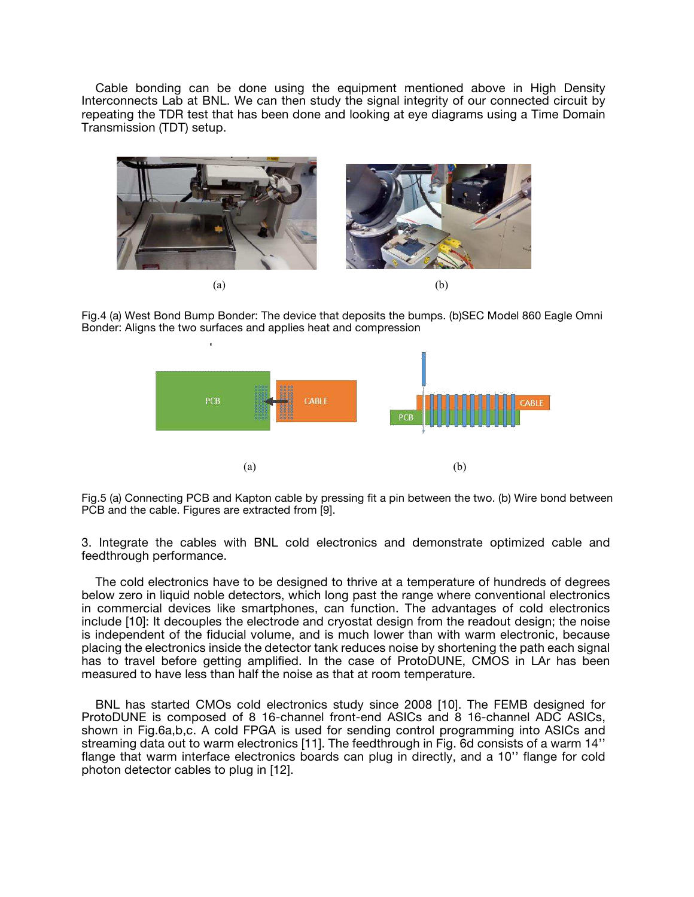Cable bonding can be done using the equipment mentioned above in High Density Interconnects Lab at BNL. We can then study the signal integrity of our connected circuit by repeating the TDR test that has been done and looking at eye diagrams using a Time Domain Transmission (TDT) setup.



Fig.4 (a) West Bond Bump Bonder: The device that deposits the bumps. (b)SEC Model 860 Eagle Omni Bonder: Aligns the two surfaces and applies heat and compression



Fig.5 (a) Connecting PCB and Kapton cable by pressing fit a pin between the two. (b) Wire bond between PCB and the cable. Figures are extracted from [9].

3. Integrate the cables with BNL cold electronics and demonstrate optimized cable and feedthrough performance.

 The cold electronics have to be designed to thrive at a temperature of hundreds of degrees below zero in liquid noble detectors, which long past the range where conventional electronics in commercial devices like smartphones, can function. The advantages of cold electronics include [10]: It decouples the electrode and cryostat design from the readout design; the noise is independent of the fiducial volume, and is much lower than with warm electronic, because placing the electronics inside the detector tank reduces noise by shortening the path each signal has to travel before getting amplified. In the case of ProtoDUNE, CMOS in LAr has been measured to have less than half the noise as that at room temperature.

 BNL has started CMOs cold electronics study since 2008 [10]. The FEMB designed for ProtoDUNE is composed of 8 16-channel front-end ASICs and 8 16-channel ADC ASICs, shown in Fig.6a,b,c. A cold FPGA is used for sending control programming into ASICs and streaming data out to warm electronics [11]. The feedthrough in Fig. 6d consists of a warm 14'' flange that warm interface electronics boards can plug in directly, and a 10'' flange for cold photon detector cables to plug in [12].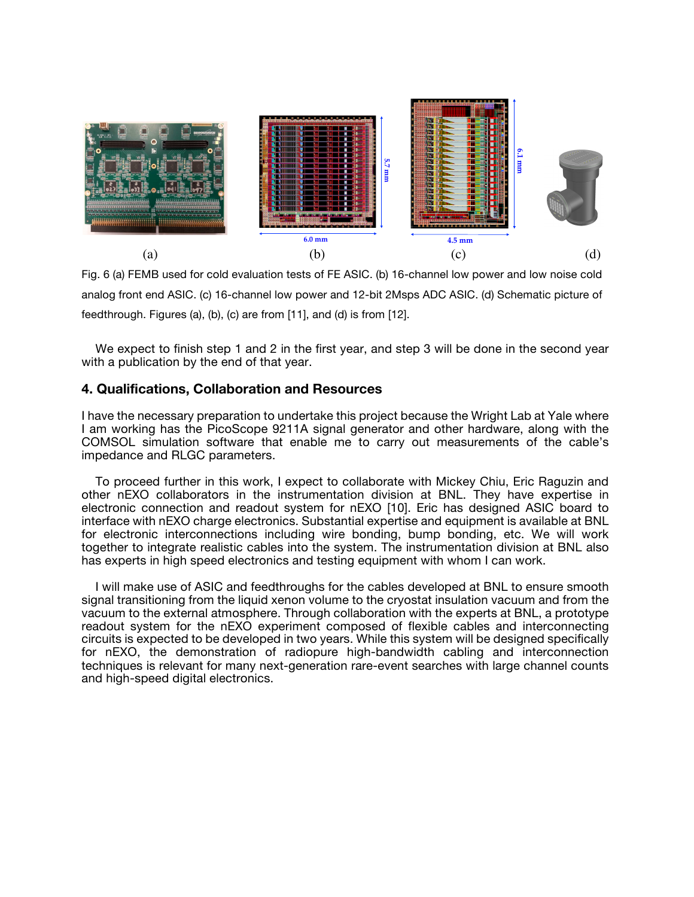

Fig. 6 (a) FEMB used for cold evaluation tests of FE ASIC. (b) 16-channel low power and low noise cold analog front end ASIC. (c) 16-channel low power and 12-bit 2Msps ADC ASIC. (d) Schematic picture of feedthrough. Figures (a), (b), (c) are from [11], and (d) is from [12].

We expect to finish step 1 and 2 in the first year, and step 3 will be done in the second year with a publication by the end of that year.

#### **4. Qualifications, Collaboration and Resources**

I have the necessary preparation to undertake this project because the Wright Lab at Yale where I am working has the PicoScope 9211A signal generator and other hardware, along with the COMSOL simulation software that enable me to carry out measurements of the cable's impedance and RLGC parameters.

 To proceed further in this work, I expect to collaborate with Mickey Chiu, Eric Raguzin and other nEXO collaborators in the instrumentation division at BNL. They have expertise in electronic connection and readout system for nEXO [10]. Eric has designed ASIC board to interface with nEXO charge electronics. Substantial expertise and equipment is available at BNL for electronic interconnections including wire bonding, bump bonding, etc. We will work together to integrate realistic cables into the system. The instrumentation division at BNL also has experts in high speed electronics and testing equipment with whom I can work.

 I will make use of ASIC and feedthroughs for the cables developed at BNL to ensure smooth signal transitioning from the liquid xenon volume to the cryostat insulation vacuum and from the vacuum to the external atmosphere. Through collaboration with the experts at BNL, a prototype readout system for the nEXO experiment composed of flexible cables and interconnecting circuits is expected to be developed in two years. While this system will be designed specifically for nEXO, the demonstration of radiopure high-bandwidth cabling and interconnection techniques is relevant for many next-generation rare-event searches with large channel counts and high-speed digital electronics.